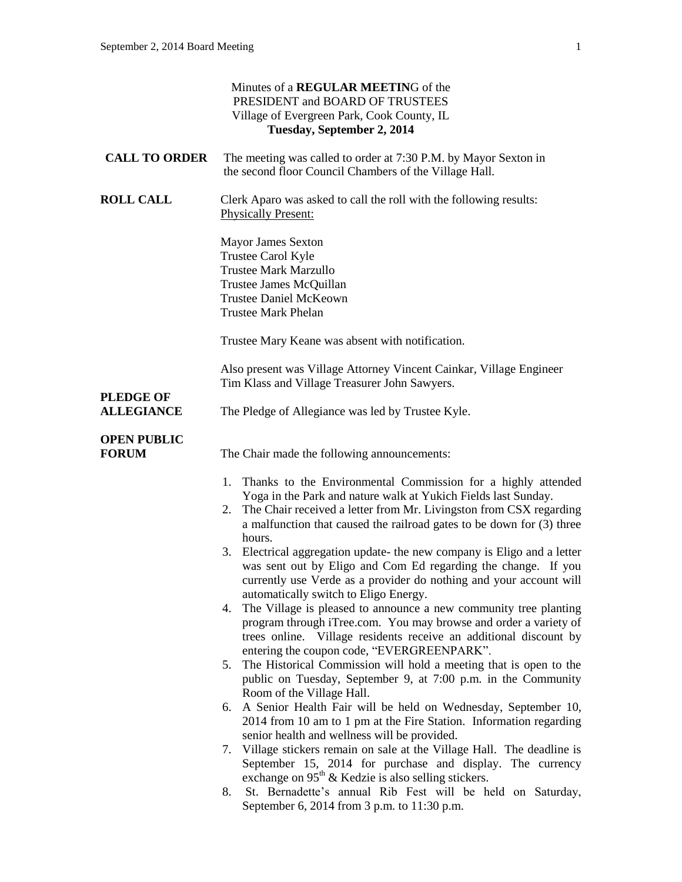|                                       | Minutes of a REGULAR MEETING of the<br>PRESIDENT and BOARD OF TRUSTEES<br>Village of Evergreen Park, Cook County, IL<br>Tuesday, September 2, 2014                                                                                                                                     |
|---------------------------------------|----------------------------------------------------------------------------------------------------------------------------------------------------------------------------------------------------------------------------------------------------------------------------------------|
| <b>CALL TO ORDER</b>                  | The meeting was called to order at 7:30 P.M. by Mayor Sexton in<br>the second floor Council Chambers of the Village Hall.                                                                                                                                                              |
| <b>ROLL CALL</b>                      | Clerk Aparo was asked to call the roll with the following results:<br><b>Physically Present:</b>                                                                                                                                                                                       |
|                                       | <b>Mayor James Sexton</b><br>Trustee Carol Kyle<br><b>Trustee Mark Marzullo</b><br>Trustee James McQuillan<br><b>Trustee Daniel McKeown</b><br><b>Trustee Mark Phelan</b>                                                                                                              |
|                                       | Trustee Mary Keane was absent with notification.                                                                                                                                                                                                                                       |
|                                       | Also present was Village Attorney Vincent Cainkar, Village Engineer<br>Tim Klass and Village Treasurer John Sawyers.                                                                                                                                                                   |
| <b>PLEDGE OF</b><br><b>ALLEGIANCE</b> | The Pledge of Allegiance was led by Trustee Kyle.                                                                                                                                                                                                                                      |
| <b>OPEN PUBLIC</b><br><b>FORUM</b>    | The Chair made the following announcements:                                                                                                                                                                                                                                            |
|                                       | 1. Thanks to the Environmental Commission for a highly attended<br>Yoga in the Park and nature walk at Yukich Fields last Sunday.<br>The Chair received a letter from Mr. Livingston from CSX regarding<br>2.<br>a malfunction that caused the railroad gates to be down for (3) three |
|                                       | hours.<br>Electrical aggregation update- the new company is Eligo and a letter<br>3.<br>was sent out by Eligo and Com Ed regarding the change. If you<br>currently use Verde as a provider do nothing and your account will<br>automatically switch to Eligo Energy.                   |
|                                       | The Village is pleased to announce a new community tree planting<br>4.<br>program through iTree.com. You may browse and order a variety of<br>trees online. Village residents receive an additional discount by<br>entering the coupon code, "EVERGREENPARK".                          |
|                                       | 5. The Historical Commission will hold a meeting that is open to the<br>public on Tuesday, September 9, at 7:00 p.m. in the Community<br>Room of the Village Hall.                                                                                                                     |
|                                       | A Senior Health Fair will be held on Wednesday, September 10,<br>6.<br>2014 from 10 am to 1 pm at the Fire Station. Information regarding                                                                                                                                              |
|                                       | senior health and wellness will be provided.<br>7. Village stickers remain on sale at the Village Hall. The deadline is<br>September 15, 2014 for purchase and display. The currency                                                                                                   |
|                                       | exchange on 95 <sup>th</sup> & Kedzie is also selling stickers.<br>St. Bernadette's annual Rib Fest will be held on Saturday,<br>8.<br>September 6, 2014 from 3 p.m. to 11:30 p.m.                                                                                                     |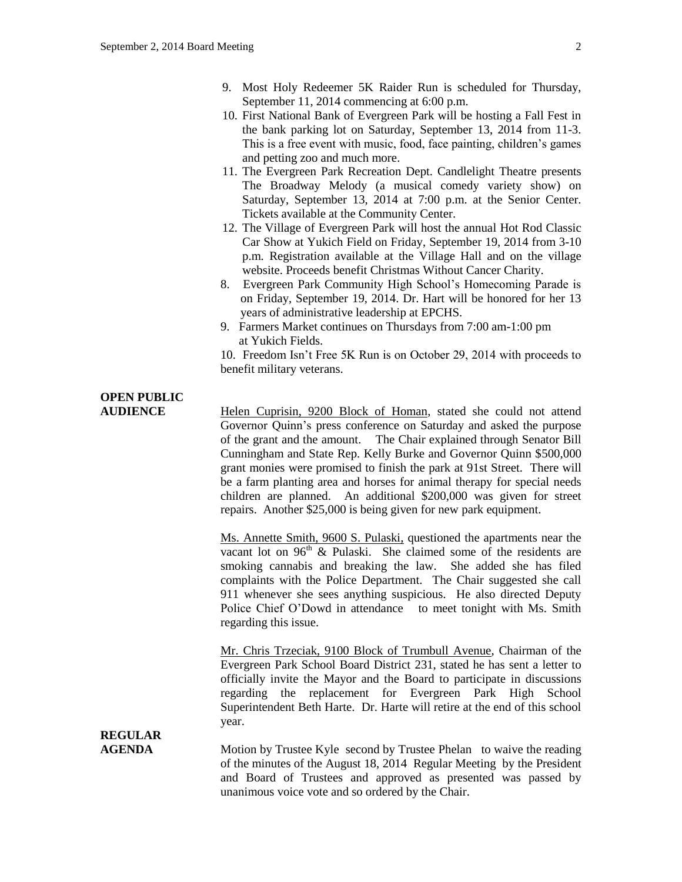- 9. Most Holy Redeemer 5K Raider Run is scheduled for Thursday, September 11, 2014 commencing at 6:00 p.m.
- 10. First National Bank of Evergreen Park will be hosting a Fall Fest in the bank parking lot on Saturday, September 13, 2014 from 11-3. This is a free event with music, food, face painting, children's games and petting zoo and much more.
- 11. The Evergreen Park Recreation Dept. Candlelight Theatre presents The Broadway Melody (a musical comedy variety show) on Saturday, September 13, 2014 at 7:00 p.m. at the Senior Center. Tickets available at the Community Center.
- 12. The Village of Evergreen Park will host the annual Hot Rod Classic Car Show at Yukich Field on Friday, September 19, 2014 from 3-10 p.m. Registration available at the Village Hall and on the village website. Proceeds benefit Christmas Without Cancer Charity.
- 8. Evergreen Park Community High School's Homecoming Parade is on Friday, September 19, 2014. Dr. Hart will be honored for her 13 years of administrative leadership at EPCHS.
- 9. Farmers Market continues on Thursdays from 7:00 am-1:00 pm at Yukich Fields.

10. Freedom Isn't Free 5K Run is on October 29, 2014 with proceeds to benefit military veterans.

# **OPEN PUBLIC**

**AUDIENCE** Helen Cuprisin, 9200 Block of Homan, stated she could not attend Governor Quinn's press conference on Saturday and asked the purpose of the grant and the amount. The Chair explained through Senator Bill Cunningham and State Rep. Kelly Burke and Governor Quinn \$500,000 grant monies were promised to finish the park at 91st Street. There will be a farm planting area and horses for animal therapy for special needs children are planned. An additional \$200,000 was given for street repairs. Another \$25,000 is being given for new park equipment.

> Ms. Annette Smith, 9600 S. Pulaski, questioned the apartments near the vacant lot on  $96<sup>th</sup>$  & Pulaski. She claimed some of the residents are smoking cannabis and breaking the law. She added she has filed complaints with the Police Department. The Chair suggested she call 911 whenever she sees anything suspicious. He also directed Deputy Police Chief O'Dowd in attendance to meet tonight with Ms. Smith regarding this issue.

> Mr. Chris Trzeciak, 9100 Block of Trumbull Avenue, Chairman of the Evergreen Park School Board District 231, stated he has sent a letter to officially invite the Mayor and the Board to participate in discussions regarding the replacement for Evergreen Park High School Superintendent Beth Harte. Dr. Harte will retire at the end of this school year.

### **REGULAR**

**AGENDA** Motion by Trustee Kyle second by Trustee Phelan to waive the reading of the minutes of the August 18, 2014 Regular Meeting by the President and Board of Trustees and approved as presented was passed by unanimous voice vote and so ordered by the Chair.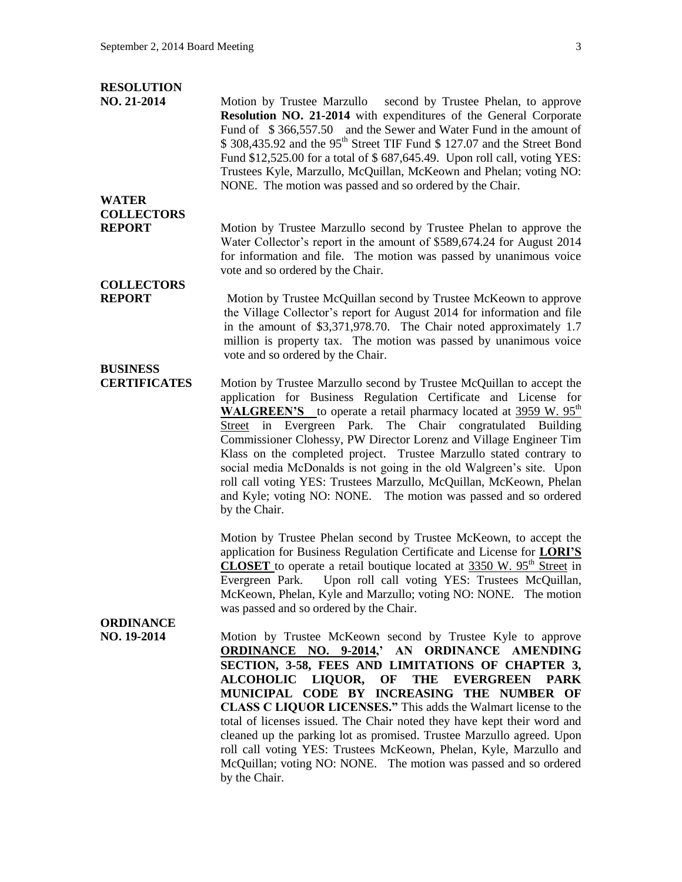#### **RESOLUTION**

**NO. 21-2014** Motion by Trustee Marzullo second by Trustee Phelan, to approve **Resolution NO. 21-2014** with expenditures of the General Corporate Fund of  $$366,557.50$  and the Sewer and Water Fund in the amount of  $$308,435.92$  and the 95<sup>th</sup> Street TIF Fund  $$127.07$  and the Street Bond Fund \$12,525.00 for a total of \$ 687,645.49. Upon roll call, voting YES: Trustees Kyle, Marzullo, McQuillan, McKeown and Phelan; voting NO: NONE. The motion was passed and so ordered by the Chair.

### **WATER COLLECTORS**

**REPORT** Motion by Trustee Marzullo second by Trustee Phelan to approve the Water Collector's report in the amount of \$589,674.24 for August 2014 for information and file. The motion was passed by unanimous voice vote and so ordered by the Chair.

## **COLLECTORS**

**BUSINESS** 

**REPORT** Motion by Trustee McQuillan second by Trustee McKeown to approve the Village Collector's report for August 2014 for information and file in the amount of \$3,371,978.70. The Chair noted approximately 1.7 million is property tax. The motion was passed by unanimous voice vote and so ordered by the Chair.

**CERTIFICATES** Motion by Trustee Marzullo second by Trustee McQuillan to accept the application for Business Regulation Certificate and License for WALGREEN'S to operate a retail pharmacy located at 3959 W. 95<sup>th</sup> Street in Evergreen Park. The Chair congratulated Building Commissioner Clohessy, PW Director Lorenz and Village Engineer Tim Klass on the completed project. Trustee Marzullo stated contrary to social media McDonalds is not going in the old Walgreen's site. Upon roll call voting YES: Trustees Marzullo, McQuillan, McKeown, Phelan and Kyle; voting NO: NONE. The motion was passed and so ordered by the Chair.

> Motion by Trustee Phelan second by Trustee McKeown, to accept the application for Business Regulation Certificate and License for **LORI'S CLOSET** to operate a retail boutique located at 3350 W. 95<sup>th</sup> Street in Evergreen Park. Upon roll call voting YES: Trustees McQuillan, McKeown, Phelan, Kyle and Marzullo; voting NO: NONE. The motion was passed and so ordered by the Chair.

### **ORDINANCE**

**NO. 19-2014** Motion by Trustee McKeown second by Trustee Kyle to approve **ORDINANCE NO. 9-2014,' AN ORDINANCE AMENDING SECTION, 3-58, FEES AND LIMITATIONS OF CHAPTER 3, ALCOHOLIC LIQUOR, OF THE EVERGREEN PARK MUNICIPAL CODE BY INCREASING THE NUMBER OF CLASS C LIQUOR LICENSES."** This adds the Walmart license to the total of licenses issued. The Chair noted they have kept their word and cleaned up the parking lot as promised. Trustee Marzullo agreed. Upon roll call voting YES: Trustees McKeown, Phelan, Kyle, Marzullo and McQuillan; voting NO: NONE. The motion was passed and so ordered by the Chair.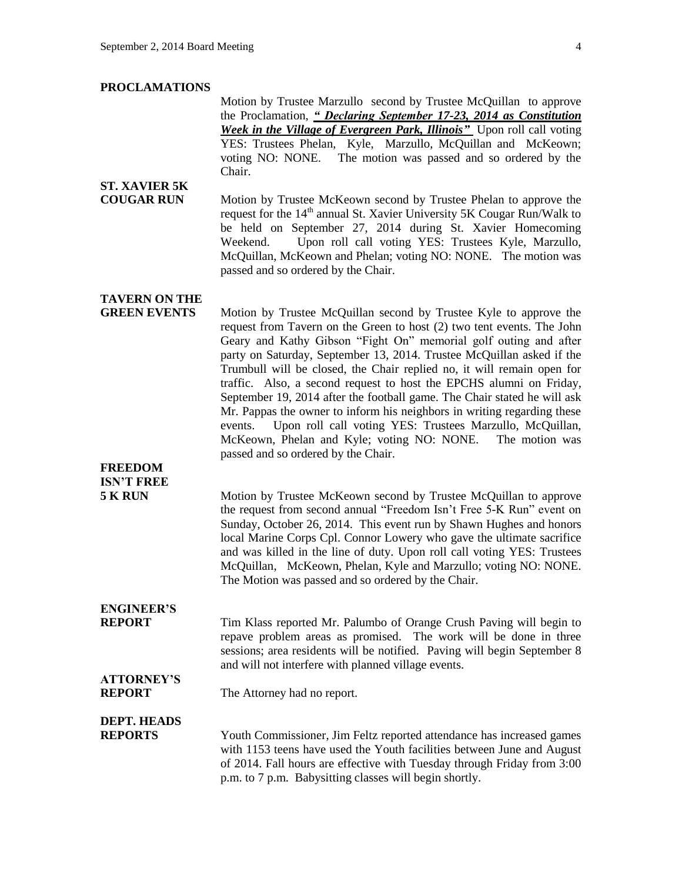#### **PROCLAMATIONS**

Motion by Trustee Marzullo second by Trustee McQuillan to approve the Proclamation, *" Declaring September 17-23, 2014 as Constitution Week in the Village of Evergreen Park, Illinois"* Upon roll call voting YES: Trustees Phelan, Kyle, Marzullo, McQuillan and McKeown; voting NO: NONE. The motion was passed and so ordered by the Chair.

#### **ST. XAVIER 5K COUGAR RUN** Motion by Trustee McKeown second by Trustee Phelan to approve the request for the  $14<sup>th</sup>$  annual St. Xavier University 5K Cougar Run/Walk to be held on September 27, 2014 during St. Xavier Homecoming Weekend. Upon roll call voting YES: Trustees Kyle, Marzullo, McQuillan, McKeown and Phelan; voting NO: NONE. The motion was passed and so ordered by the Chair.

### **TAVERN ON THE**

**GREEN EVENTS** Motion by Trustee McQuillan second by Trustee Kyle to approve the request from Tavern on the Green to host (2) two tent events. The John Geary and Kathy Gibson "Fight On" memorial golf outing and after party on Saturday, September 13, 2014. Trustee McQuillan asked if the Trumbull will be closed, the Chair replied no, it will remain open for traffic. Also, a second request to host the EPCHS alumni on Friday, September 19, 2014 after the football game. The Chair stated he will ask Mr. Pappas the owner to inform his neighbors in writing regarding these events. Upon roll call voting YES: Trustees Marzullo, McQuillan, McKeown, Phelan and Kyle; voting NO: NONE. The motion was passed and so ordered by the Chair.

### **FREEDOM ISN'T FREE**

**5 K RUN** Motion by Trustee McKeown second by Trustee McQuillan to approve the request from second annual "Freedom Isn't Free 5-K Run" event on Sunday, October 26, 2014. This event run by Shawn Hughes and honors local Marine Corps Cpl. Connor Lowery who gave the ultimate sacrifice and was killed in the line of duty. Upon roll call voting YES: Trustees McQuillan, McKeown, Phelan, Kyle and Marzullo; voting NO: NONE. The Motion was passed and so ordered by the Chair.

## **ENGINEER'S**

**REPORT** Tim Klass reported Mr. Palumbo of Orange Crush Paving will begin to repave problem areas as promised. The work will be done in three sessions; area residents will be notified. Paving will begin September 8 and will not interfere with planned village events.

#### **REPORT** The Attorney had no report.

## **DEPT. HEADS**

**ATTORNEY'S** 

**REPORTS** Youth Commissioner, Jim Feltz reported attendance has increased games with 1153 teens have used the Youth facilities between June and August of 2014. Fall hours are effective with Tuesday through Friday from 3:00 p.m. to 7 p.m. Babysitting classes will begin shortly.